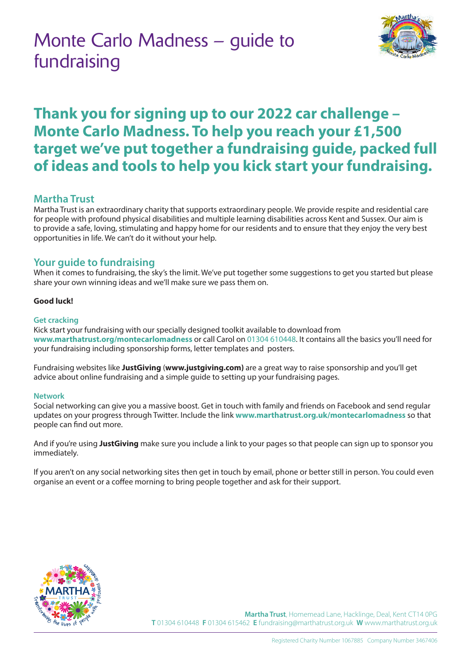# Monte Carlo Madness – guide to fundraising



## **Thank you for signing up to our 2022 car challenge – Monte Carlo Madness. To help you reach your £1,500 target we've put together a fundraising guide, packed full of ideas and tools to help you kick start your fundraising.**

## **Martha Trust**

Martha Trust is an extraordinary charity that supports extraordinary people. We provide respite and residential care for people with profound physical disabilities and multiple learning disabilities across Kent and Sussex. Our aim is to provide a safe, loving, stimulating and happy home for our residents and to ensure that they enjoy the very best opportunities in life. We can't do it without your help.

## **Your guide to fundraising**

When it comes to fundraising, the sky's the limit. We've put together some suggestions to get you started but please share your own winning ideas and we'll make sure we pass them on.

## **Good luck!**

### **Get cracking**

Kick start your fundraising with our specially designed toolkit available to download from **www.marthatrust.org/montecarlomadness** or call Carol on 01304 610448. It contains all the basics you'll need for your fundraising including sponsorship forms, letter templates and posters.

Fundraising websites like **JustGiving** (**www.justgiving.com)** are a great way to raise sponsorship and you'll get advice about online fundraising and a simple guide to setting up your fundraising pages.

#### **Network**

Social networking can give you a massive boost. Get in touch with family and friends on Facebook and send regular updates on your progress through Twitter. Include the link **www.marthatrust.org.uk/montecarlomadness** so that people can find out more.

And if you're using **JustGiving** make sure you include a link to your pages so that people can sign up to sponsor you immediately.

If you aren't on any social networking sites then get in touch by email, phone or better still in person. You could even organise an event or a coffee morning to bring people together and ask for their support.



**Martha Trust**, Homemead Lane, Hacklinge, Deal, Kent CT14 0PG **T** 01304 610448 **F** 01304 615462 **E** fundraising@marthatrust.org.uk **W** www.marthatrust.org.uk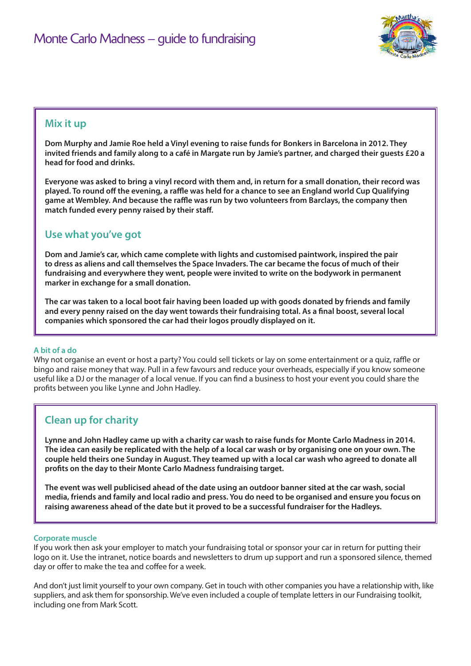

## **Mix it up**

**Dom Murphy and Jamie Roe held a Vinyl evening to raise funds for Bonkers in Barcelona in 2012. They invited friends and family along to a café in Margate run by Jamie's partner, and charged their guests £20 a head for food and drinks.** 

**Everyone was asked to bring a vinyl record with them and, in return for a small donation, their record was played. To round off the evening, a raffle was held for a chance to see an England world Cup Qualifying game at Wembley. And because the raffle was run by two volunteers from Barclays, the company then match funded every penny raised by their staff.**

## **Use what you've got**

**Dom and Jamie's car, which came complete with lights and customised paintwork, inspired the pair to dress as aliens and call themselves the Space Invaders. The car became the focus of much of their fundraising and everywhere they went, people were invited to write on the bodywork in permanent marker in exchange for a small donation.**

**The car was taken to a local boot fair having been loaded up with goods donated by friends and family and every penny raised on the day went towards their fundraising total. As a final boost, several local companies which sponsored the car had their logos proudly displayed on it.**

#### **A bit of a do**

Why not organise an event or host a party? You could sell tickets or lay on some entertainment or a quiz, raffle or bingo and raise money that way. Pull in a few favours and reduce your overheads, especially if you know someone useful like a DJ or the manager of a local venue. If you can find a business to host your event you could share the profits between you like Lynne and John Hadley.

## **Clean up for charity**

**Lynne and John Hadley came up with a charity car wash to raise funds for Monte Carlo Madness in 2014. The idea can easily be replicated with the help of a local car wash or by organising one on your own. The couple held theirs one Sunday in August. They teamed up with a local car wash who agreed to donate all profits on the day to their Monte Carlo Madness fundraising target.**

**The event was well publicised ahead of the date using an outdoor banner sited at the car wash, social media, friends and family and local radio and press. You do need to be organised and ensure you focus on raising awareness ahead of the date but it proved to be a successful fundraiser for the Hadleys.**

#### **Corporate muscle**

If you work then ask your employer to match your fundraising total or sponsor your car in return for putting their logo on it. Use the intranet, notice boards and newsletters to drum up support and run a sponsored silence, themed day or offer to make the tea and coffee for a week.

And don't just limit yourself to your own company. Get in touch with other companies you have a relationship with, like suppliers, and ask them for sponsorship. We've even included a couple of template letters in our Fundraising toolkit, including one from Mark Scott.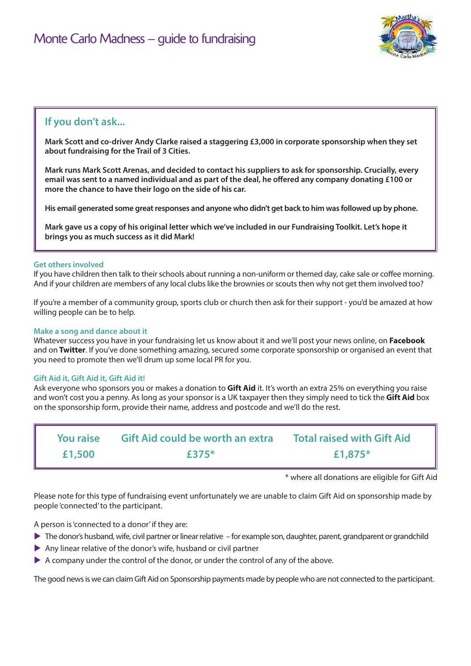

## **If you don't ask...**

**Mark Scott and co-driver Andy Clarke raised a staggering £3,000 in corporate sponsorship when they set about fundraising for the Trail of 3 Cities.** 

**Mark runs Mark Scott Arenas, and decided to contact his suppliers to ask for sponsorship. Crucially, every email was sent to a named individual and as part of the deal, he offered any company donating £100 or more the chance to have their logo on the side of his car.**

**His email generated some great responses and anyone who didn't get back to him was followed up by phone.** 

**Mark gave us a copy of his original letter which we've included in our Fundraising Toolkit. Let's hope it brings you as much success as it did Mark!**

#### **Get others involved**

If you have children then talk to their schools about running a non-uniform or themed day, cake sale or coffee morning. And if your children are members of any local clubs like the brownies or scouts then why not get them involved too?

If you're a member of a community group, sports club or church then ask for their support - you'd be amazed at how willing people can be to help.

#### **Make a song and dance about it**

Whatever success you have in your fundraising let us know about it and we'll post your news online, on **Facebook** and on **Twitter**. If you've done something amazing, secured some corporate sponsorship or organised an event that you need to promote then we'll drum up some local PR for you.

#### **Gift Aid it, Gift Aid it, Gift Aid it!**

Ask everyone who sponsors you or makes a donation to **Gift Aid** it. It's worth an extra 25% on everything you raise and won't cost you a penny. As long as your sponsor is a UK taxpayer then they simply need to tick the **Gift Aid** box on the sponsorship form, provide their name, address and postcode and we'll do the rest.

| <b>You raise</b> | <b>Gift Aid could be worth an extra</b> | <b>Total raised with Gift Aid</b> |
|------------------|-----------------------------------------|-----------------------------------|
| £1,500           | £375 $*$                                | £1,875 $*$                        |

\* where all donations are eligible for Gift Aid

Please note for this type of fundraising event unfortunately we are unable to claim Gift Aid on sponsorship made by people 'connected' to the participant.

A person is 'connected to a donor' if they are:

- $\blacktriangleright$  The donor's husband, wife, civil partner or linear relative for example son, daughter, parent, grandparent or grandchild
- $\triangleright$  Any linear relative of the donor's wife, husband or civil partner
- $\triangleright$  A company under the control of the donor, or under the control of any of the above.

The good news is we can claim Gift Aid on Sponsorship payments made by people who are not connected to the participant.